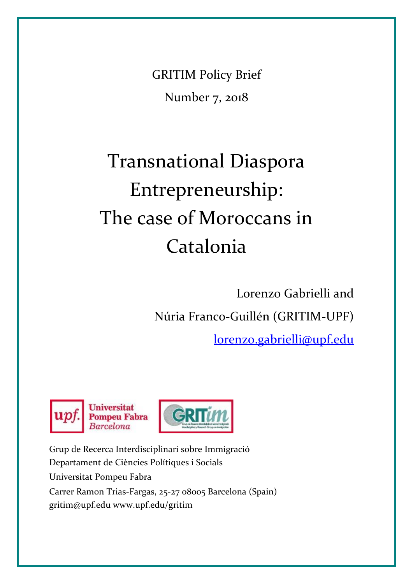GRITIM Policy Brief Number 7, 2018

# Transnational Diaspora Entrepreneurship: The case of Moroccans in Catalonia

Lorenzo Gabrielli and Núria Franco-Guillén (GRITIM-UPF)

[lorenzo.gabrielli@upf.edu](mailto:lorenzo.gabrielli@upf.edu)





Grup de Recerca Interdisciplinari sobre Immigració Departament de Ciències Polítiques i Socials Universitat Pompeu Fabra Carrer Ramon Trias-Fargas, 25-27 08005 Barcelona (Spain) [gritim@upf.edu](mailto:gritim@upf.edu) [www.upf.edu/gritim](http://www.upf.edu/gritim)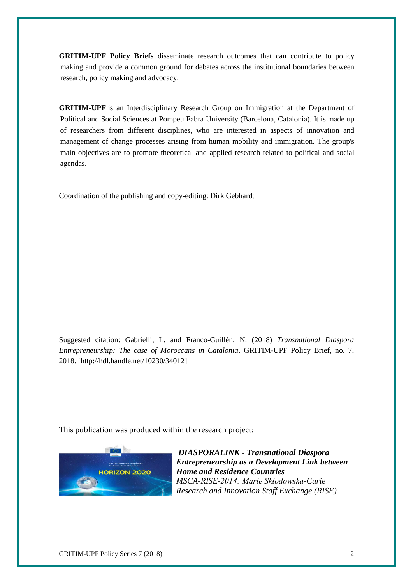**GRITIM-UPF Policy Briefs** disseminate research outcomes that can contribute to policy making and provide a common ground for debates across the institutional boundaries between research, policy making and advocacy.

**GRITIM-UPF** is an Interdisciplinary Research Group on Immigration at the Department of Political and Social Sciences at Pompeu Fabra University (Barcelona, Catalonia). It is made up of researchers from different disciplines, who are interested in aspects of innovation and management of change processes arising from human mobility and immigration. The group's main objectives are to promote theoretical and applied research related to political and social agendas.

Coordination of the publishing and copy-editing: Dirk Gebhardt

Suggested citation: Gabrielli, L. and Franco-Guillén, N. (2018) *Transnational Diaspora Entrepreneurship: The case of Moroccans in Catalonia*. GRITIM-UPF Policy Brief, no. 7, 2018. [\[http://hdl.handle.net/10230/34012\]](http://hdl.handle.net/10230/34012)

This publication was produced within the research project:



*DIASPORALINK - Transnational Diaspora Entrepreneurship as a Development Link between Home and Residence Countries MSCA-RISE-2014: Marie Skłodowska-Curie Research and Innovation Staff Exchange (RISE)*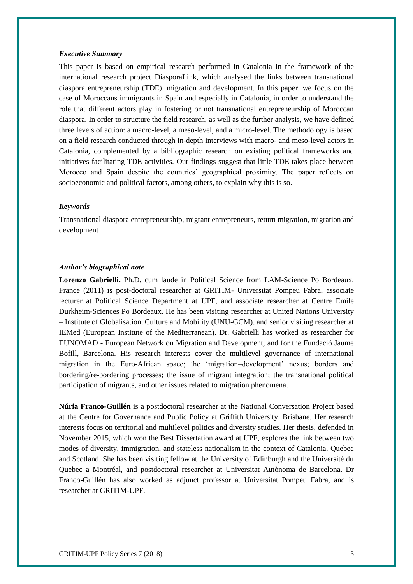#### *Executive Summary*

This paper is based on empirical research performed in Catalonia in the framework of the international research project DiasporaLink, which analysed the links between transnational diaspora entrepreneurship (TDE), migration and development. In this paper, we focus on the case of Moroccans immigrants in Spain and especially in Catalonia, in order to understand the role that different actors play in fostering or not transnational entrepreneurship of Moroccan diaspora. In order to structure the field research, as well as the further analysis, we have defined three levels of action: a macro-level, a meso-level, and a micro-level. The methodology is based on a field research conducted through in-depth interviews with macro- and meso-level actors in Catalonia, complemented by a bibliographic research on existing political frameworks and initiatives facilitating TDE activities. Our findings suggest that little TDE takes place between Morocco and Spain despite the countries' geographical proximity. The paper reflects on socioeconomic and political factors, among others, to explain why this is so.

## *Keywords*

Transnational diaspora entrepreneurship, migrant entrepreneurs, return migration, migration and development

## *Author's biographical note*

**Lorenzo Gabrielli,** Ph.D. cum laude in Political Science from LAM-Science Po Bordeaux, France (2011) is post-doctoral researcher at GRITIM- Universitat Pompeu Fabra, associate lecturer at Political Science Department at UPF, and associate researcher at Centre Emile Durkheim-Sciences Po Bordeaux. He has been visiting researcher at United Nations University – Institute of Globalisation, Culture and Mobility (UNU-GCM), and senior visiting researcher at IEMed (European Institute of the Mediterranean). Dr. Gabrielli has worked as researcher for EUNOMAD - European Network on Migration and Development, and for the Fundació Jaume Bofill, Barcelona. His research interests cover the multilevel governance of international migration in the EuroAfrican space; the 'migration–development' nexus; borders and bordering/re-bordering processes; the issue of migrant integration; the transnational political participation of migrants, and other issues related to migration phenomena.

**Núria Franco-Guillén** is a postdoctoral researcher at the National Conversation Project based at the Centre for Governance and Public Policy at Griffith University, Brisbane. Her research interests focus on territorial and multilevel politics and diversity studies. Her thesis, defended in November 2015, which won the Best Dissertation award at UPF, explores the link between two modes of diversity, immigration, and stateless nationalism in the context of Catalonia, Quebec and Scotland. She has been visiting fellow at the University of Edinburgh and the Université du Quebec a Montréal, and postdoctoral researcher at Universitat Autònoma de Barcelona. Dr Franco-Guillén has also worked as adjunct professor at Universitat Pompeu Fabra, and is researcher at GRITIM-UPF.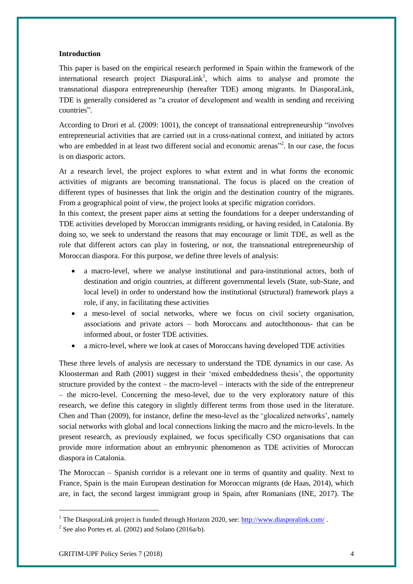# **Introduction**

This paper is based on the empirical research performed in Spain within the framework of the international research project DiasporaLink<sup>1</sup>, which aims to analyse and promote the transnational diaspora entrepreneurship (hereafter TDE) among migrants. In DiasporaLink, TDE is generally considered as "a creator of development and wealth in sending and receiving countries".

According to Drori et al. (2009: 1001), the concept of transnational entrepreneurship "involves entrepreneurial activities that are carried out in a cross-national context, and initiated by actors who are embedded in at least two different social and economic arenas<sup>32</sup>. In our case, the focus is on diasporic actors.

At a research level, the project explores to what extent and in what forms the economic activities of migrants are becoming transnational. The focus is placed on the creation of different types of businesses that link the origin and the destination country of the migrants. From a geographical point of view, the project looks at specific migration corridors.

In this context, the present paper aims at setting the foundations for a deeper understanding of TDE activities developed by Moroccan immigrants residing, or having resided, in Catalonia. By doing so, we seek to understand the reasons that may encourage or limit TDE, as well as the role that different actors can play in fostering, or not, the transnational entrepreneurship of Moroccan diaspora. For this purpose, we define three levels of analysis:

- a macro-level, where we analyse institutional and para-institutional actors, both of destination and origin countries, at different governmental levels (State, sub-State, and local level) in order to understand how the institutional (structural) framework plays a role, if any, in facilitating these activities
- a meso-level of social networks, where we focus on civil society organisation, associations and private actors – both Moroccans and autochthonous- that can be informed about, or foster TDE activities.
- a micro-level, where we look at cases of Moroccans having developed TDE activities

These three levels of analysis are necessary to understand the TDE dynamics in our case. As Kloosterman and Rath (2001) suggest in their 'mixed embeddedness thesis', the opportunity structure provided by the context – the macro-level – interacts with the side of the entrepreneur – the micro-level. Concerning the meso-level, due to the very exploratory nature of this research, we define this category in slightly different terms from those used in the literature. Chen and Than (2009), for instance, define the meso-level as the 'glocalized networks', namely social networks with global and local connections linking the macro and the micro-levels. In the present research, as previously explained, we focus specifically CSO organisations that can provide more information about an embryonic phenomenon as TDE activities of Moroccan diaspora in Catalonia.

The Moroccan – Spanish corridor is a relevant one in terms of quantity and quality. Next to France, Spain is the main European destination for Moroccan migrants (de Haas, 2014), which are, in fact, the second largest immigrant group in Spain, after Romanians (INE, 2017). The

1

<sup>&</sup>lt;sup>1</sup> The DiasporaLink project is funded through Horizon 2020, see:<http://www.diasporalink.com/>.

<sup>&</sup>lt;sup>2</sup> See also Portes et. al. (2002) and Solano (2016a/b).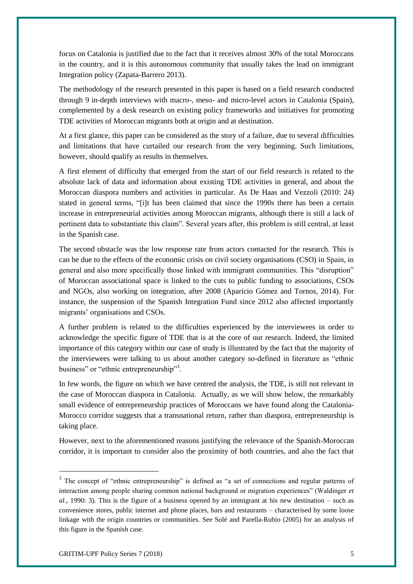focus on Catalonia is justified due to the fact that it receives almost 30% of the total Moroccans in the country, and it is this autonomous community that usually takes the lead on immigrant Integration policy (Zapata-Barrero 2013).

The methodology of the research presented in this paper is based on a field research conducted through 9 in-depth interviews with macro-, meso- and micro-level actors in Catalonia (Spain), complemented by a desk research on existing policy frameworks and initiatives for promoting TDE activities of Moroccan migrants both at origin and at destination.

At a first glance, this paper can be considered as the story of a failure, due to several difficulties and limitations that have curtailed our research from the very beginning. Such limitations, however, should qualify as results in themselves.

A first element of difficulty that emerged from the start of our field research is related to the absolute lack of data and information about existing TDE activities in general, and about the Moroccan diaspora numbers and activities in particular. As De Haas and Vezzoli (2010: 24) stated in general terms, "[i]t has been claimed that since the 1990s there has been a certain increase in entrepreneurial activities among Moroccan migrants, although there is still a lack of pertinent data to substantiate this claim". Several years after, this problem is still central, at least in the Spanish case.

The second obstacle was the low response rate from actors contacted for the research. This is can be due to the effects of the economic crisis on civil society organisations (CSO) in Spain, in general and also more specifically those linked with immigrant communities. This "disruption" of Moroccan associational space is linked to the cuts to public funding to associations, CSOs and NGOs, also working on integration, after 2008 (Aparicio Gómez and Tornos, 2014). For instance, the suspension of the Spanish Integration Fund since 2012 also affected importantly migrants' organisations and CSOs.

A further problem is related to the difficulties experienced by the interviewees in order to acknowledge the specific figure of TDE that is at the core of our research. Indeed, the limited importance of this category within our case of study is illustrated by the fact that the majority of the interviewees were talking to us about another category so-defined in literature as "ethnic business" or "ethnic entrepreneurship"<sup>3</sup>.

In few words, the figure on which we have centred the analysis, the TDE, is still not relevant in the case of Moroccan diaspora in Catalonia. Actually, as we will show below, the remarkably small evidence of entrepreneurship practices of Moroccans we have found along the Catalonia-Morocco corridor suggests that a transnational return, rather than diaspora, entrepreneurship is taking place.

However, next to the aforementioned reasons justifying the relevance of the Spanish-Moroccan corridor, it is important to consider also the proximity of both countries, and also the fact that

<sup>&</sup>lt;sup>3</sup> The concept of "ethnic entrepreneurship" is defined as "a set of connections and regular patterns of interaction among people sharing common national background or migration experiences" (Waldinger *et al*., 1990: 3). This is the figure of a business opened by an immigrant at his new destination – such as convenience stores, public internet and phone places, bars and restaurants – characterised by some loose linkage with the origin countries or communities. See Solé and Parella-Rubio (2005) for an analysis of this figure in the Spanish case.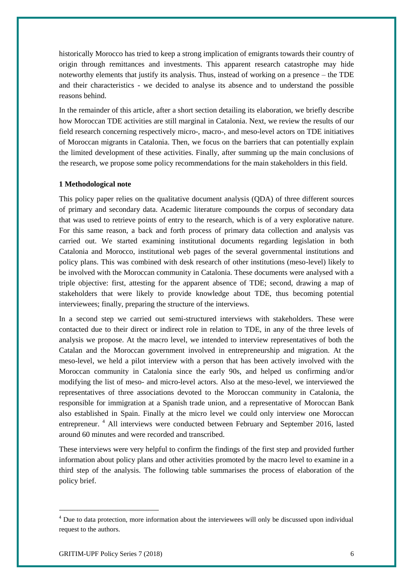historically Morocco has tried to keep a strong implication of emigrants towards their country of origin through remittances and investments. This apparent research catastrophe may hide noteworthy elements that justify its analysis. Thus, instead of working on a presence – the TDE and their characteristics - we decided to analyse its absence and to understand the possible reasons behind.

In the remainder of this article, after a short section detailing its elaboration, we briefly describe how Moroccan TDE activities are still marginal in Catalonia. Next, we review the results of our field research concerning respectively micro-, macro-, and meso-level actors on TDE initiatives of Moroccan migrants in Catalonia. Then, we focus on the barriers that can potentially explain the limited development of these activities. Finally, after summing up the main conclusions of the research, we propose some policy recommendations for the main stakeholders in this field.

# **1 Methodological note**

This policy paper relies on the qualitative document analysis (QDA) of three different sources of primary and secondary data. Academic literature compounds the corpus of secondary data that was used to retrieve points of entry to the research, which is of a very explorative nature. For this same reason, a back and forth process of primary data collection and analysis vas carried out. We started examining institutional documents regarding legislation in both Catalonia and Morocco, institutional web pages of the several governmental institutions and policy plans. This was combined with desk research of other institutions (meso-level) likely to be involved with the Moroccan community in Catalonia. These documents were analysed with a triple objective: first, attesting for the apparent absence of TDE; second, drawing a map of stakeholders that were likely to provide knowledge about TDE, thus becoming potential interviewees; finally, preparing the structure of the interviews.

In a second step we carried out semi-structured interviews with stakeholders. These were contacted due to their direct or indirect role in relation to TDE, in any of the three levels of analysis we propose. At the macro level, we intended to interview representatives of both the Catalan and the Moroccan government involved in entrepreneurship and migration. At the meso-level, we held a pilot interview with a person that has been actively involved with the Moroccan community in Catalonia since the early 90s, and helped us confirming and/or modifying the list of meso- and micro-level actors. Also at the meso-level, we interviewed the representatives of three associations devoted to the Moroccan community in Catalonia, the responsible for immigration at a Spanish trade union, and a representative of Moroccan Bank also established in Spain. Finally at the micro level we could only interview one Moroccan entrepreneur.<sup>4</sup> All interviews were conducted between February and September 2016, lasted around 60 minutes and were recorded and transcribed.

These interviews were very helpful to confirm the findings of the first step and provided further information about policy plans and other activities promoted by the macro level to examine in a third step of the analysis. The following table summarises the process of elaboration of the policy brief.

1

<sup>&</sup>lt;sup>4</sup> Due to data protection, more information about the interviewees will only be discussed upon individual request to the authors.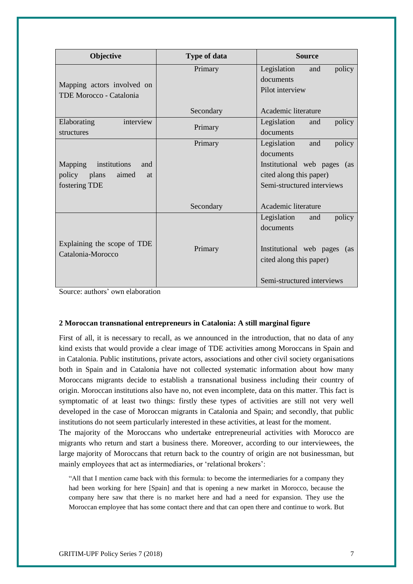| Objective                                             | <b>Type of data</b> | <b>Source</b>                   |
|-------------------------------------------------------|---------------------|---------------------------------|
| Mapping actors involved on<br>TDE Morocco - Catalonia | Primary             | Legislation<br>policy<br>and    |
|                                                       |                     | documents                       |
|                                                       |                     | Pilot interview                 |
|                                                       | Secondary           | Academic literature             |
| Elaborating<br>interview<br>structures                | Primary             | Legislation<br>policy<br>and    |
|                                                       |                     | documents                       |
| Mapping<br>institutions<br>and                        | Primary             | Legislation<br>and<br>policy    |
|                                                       |                     | documents                       |
|                                                       |                     | Institutional web pages (as     |
| policy<br><i>plans</i><br>aimed<br><sub>at</sub>      |                     | cited along this paper)         |
| fostering TDE                                         |                     | Semi-structured interviews      |
|                                                       | Secondary           | Academic literature             |
| Explaining the scope of TDE<br>Catalonia-Morocco      |                     | Legislation<br>policy<br>and    |
|                                                       |                     | documents                       |
|                                                       | Primary             |                                 |
|                                                       |                     | Institutional web pages<br>(as) |
|                                                       |                     | cited along this paper)         |
|                                                       |                     | Semi-structured interviews      |

Source: authors' own elaboration

# **2 Moroccan transnational entrepreneurs in Catalonia: A still marginal figure**

First of all, it is necessary to recall, as we announced in the introduction, that no data of any kind exists that would provide a clear image of TDE activities among Moroccans in Spain and in Catalonia. Public institutions, private actors, associations and other civil society organisations both in Spain and in Catalonia have not collected systematic information about how many Moroccans migrants decide to establish a transnational business including their country of origin. Moroccan institutions also have no, not even incomplete, data on this matter. This fact is symptomatic of at least two things: firstly these types of activities are still not very well developed in the case of Moroccan migrants in Catalonia and Spain; and secondly, that public institutions do not seem particularly interested in these activities, at least for the moment.

The majority of the Moroccans who undertake entrepreneurial activities with Morocco are migrants who return and start a business there. Moreover, according to our interviewees, the large majority of Moroccans that return back to the country of origin are not businessman, but mainly employees that act as intermediaries, or 'relational brokers':

"All that I mention came back with this formula: to become the intermediaries for a company they had been working for here [Spain] and that is opening a new market in Morocco, because the company here saw that there is no market here and had a need for expansion. They use the Moroccan employee that has some contact there and that can open there and continue to work. But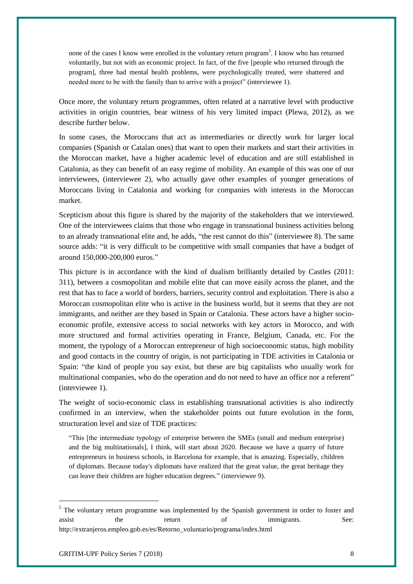none of the cases I know were enrolled in the voluntary return program<sup>5</sup>. I know who has returned voluntarily, but not with an economic project. In fact, of the five [people who returned through the program], three had mental health problems, were psychologically treated, were shattered and needed more to be with the family than to arrive with a project" (interviewee 1).

Once more, the voluntary return programmes, often related at a narrative level with productive activities in origin countries, bear witness of his very limited impact (Plewa, 2012), as we describe further below.

In some cases, the Moroccans that act as intermediaries or directly work for larger local companies (Spanish or Catalan ones) that want to open their markets and start their activities in the Moroccan market, have a higher academic level of education and are still established in Catalonia, as they can benefit of an easy regime of mobility. An example of this was one of our interviewees, (interviewee 2), who actually gave other examples of younger generations of Moroccans living in Catalonia and working for companies with interests in the Moroccan market.

Scepticism about this figure is shared by the majority of the stakeholders that we interviewed. One of the interviewees claims that those who engage in transnational business activities belong to an already transnational elite and, he adds, "the rest cannot do this" (interviewee 8). The same source adds: "it is very difficult to be competitive with small companies that have a budget of around 150,000-200,000 euros."

This picture is in accordance with the kind of dualism brilliantly detailed by Castles (2011: 311), between a cosmopolitan and mobile elite that can move easily across the planet, and the rest that has to face a world of borders, barriers, security control and exploitation. There is also a Moroccan cosmopolitan elite who is active in the business world, but it seems that they are not immigrants, and neither are they based in Spain or Catalonia. These actors have a higher socioeconomic profile, extensive access to social networks with key actors in Morocco, and with more structured and formal activities operating in France, Belgium, Canada, etc. For the moment, the typology of a Moroccan entrepreneur of high socioeconomic status, high mobility and good contacts in the country of origin, is not participating in TDE activities in Catalonia or Spain: "the kind of people you say exist, but these are big capitalists who usually work for multinational companies, who do the operation and do not need to have an office nor a referent" (interviewee 1).

The weight of socio-economic class in establishing transnational activities is also indirectly confirmed in an interview, when the stakeholder points out future evolution in the form, structuration level and size of TDE practices:

"This [the intermediate typology of enterprise between the SMEs (small and medium enterprise) and the big multinationals], I think, will start about 2020. Because we have a quarry of future entrepreneurs in business schools, in Barcelona for example, that is amazing. Especially, children of diplomats. Because today's diplomats have realized that the great value, the great heritage they can leave their children are higher education degrees." (interviewee 9).

1

<sup>&</sup>lt;sup>5</sup> The voluntary return programme was implemented by the Spanish government in order to foster and assist the return of immigrants. See: http://extranjeros.empleo.gob.es/es/Retorno\_voluntario/programa/index.html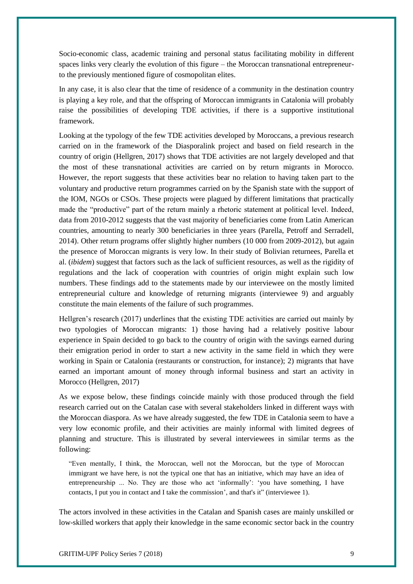Socio-economic class, academic training and personal status facilitating mobility in different spaces links very clearly the evolution of this figure – the Moroccan transnational entrepreneurto the previously mentioned figure of cosmopolitan elites.

In any case, it is also clear that the time of residence of a community in the destination country is playing a key role, and that the offspring of Moroccan immigrants in Catalonia will probably raise the possibilities of developing TDE activities, if there is a supportive institutional framework.

Looking at the typology of the few TDE activities developed by Moroccans, a previous research carried on in the framework of the Diasporalink project and based on field research in the country of origin (Hellgren, 2017) shows that TDE activities are not largely developed and that the most of these transnational activities are carried on by return migrants in Morocco. However, the report suggests that these activities bear no relation to having taken part to the voluntary and productive return programmes carried on by the Spanish state with the support of the IOM, NGOs or CSOs. These projects were plagued by different limitations that practically made the "productive" part of the return mainly a rhetoric statement at political level. Indeed, data from 2010-2012 suggests that the vast majority of beneficiaries come from Latin American countries, amounting to nearly 300 beneficiaries in three years (Parella, Petroff and Serradell, 2014). Other return programs offer slightly higher numbers (10 000 from 2009-2012), but again the presence of Moroccan migrants is very low. In their study of Bolivian returnees, Parella et al. (*ibidem*) suggest that factors such as the lack of sufficient resources, as well as the rigidity of regulations and the lack of cooperation with countries of origin might explain such low numbers. These findings add to the statements made by our interviewee on the mostly limited entrepreneurial culture and knowledge of returning migrants (interviewee 9) and arguably constitute the main elements of the failure of such programmes.

Hellgren's research (2017) underlines that the existing TDE activities are carried out mainly by two typologies of Moroccan migrants: 1) those having had a relatively positive labour experience in Spain decided to go back to the country of origin with the savings earned during their emigration period in order to start a new activity in the same field in which they were working in Spain or Catalonia (restaurants or construction, for instance); 2) migrants that have earned an important amount of money through informal business and start an activity in Morocco (Hellgren, 2017)

As we expose below, these findings coincide mainly with those produced through the field research carried out on the Catalan case with several stakeholders linked in different ways with the Moroccan diaspora. As we have already suggested, the few TDE in Catalonia seem to have a very low economic profile, and their activities are mainly informal with limited degrees of planning and structure. This is illustrated by several interviewees in similar terms as the following:

"Even mentally, I think, the Moroccan, well not the Moroccan, but the type of Moroccan immigrant we have here, is not the typical one that has an initiative, which may have an idea of entrepreneurship ... No. They are those who act 'informally': 'you have something, I have contacts, I put you in contact and I take the commission', and that's it" (interviewee 1).

The actors involved in these activities in the Catalan and Spanish cases are mainly unskilled or low-skilled workers that apply their knowledge in the same economic sector back in the country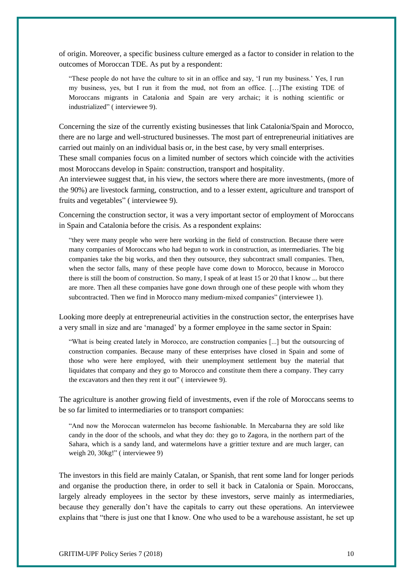of origin. Moreover, a specific business culture emerged as a factor to consider in relation to the outcomes of Moroccan TDE. As put by a respondent:

"These people do not have the culture to sit in an office and say, 'I run my business.' Yes, I run my business, yes, but I run it from the mud, not from an office. […]The existing TDE of Moroccans migrants in Catalonia and Spain are very archaic; it is nothing scientific or industrialized" ( interviewee 9).

Concerning the size of the currently existing businesses that link Catalonia/Spain and Morocco, there are no large and well-structured businesses. The most part of entrepreneurial initiatives are carried out mainly on an individual basis or, in the best case, by very small enterprises.

These small companies focus on a limited number of sectors which coincide with the activities most Moroccans develop in Spain: construction, transport and hospitality.

An interviewee suggest that, in his view, the sectors where there are more investments, (more of the 90%) are livestock farming, construction, and to a lesser extent, agriculture and transport of fruits and vegetables" ( interviewee 9).

Concerning the construction sector, it was a very important sector of employment of Moroccans in Spain and Catalonia before the crisis. As a respondent explains:

"they were many people who were here working in the field of construction. Because there were many companies of Moroccans who had begun to work in construction, as intermediaries. The big companies take the big works, and then they outsource, they subcontract small companies. Then, when the sector falls, many of these people have come down to Morocco, because in Morocco there is still the boom of construction. So many, I speak of at least 15 or 20 that I know ... but there are more. Then all these companies have gone down through one of these people with whom they subcontracted. Then we find in Morocco many medium-mixed companies" (interviewee 1).

Looking more deeply at entrepreneurial activities in the construction sector, the enterprises have a very small in size and are 'managed' by a former employee in the same sector in Spain:

"What is being created lately in Morocco, are construction companies [...] but the outsourcing of construction companies. Because many of these enterprises have closed in Spain and some of those who were here employed, with their unemployment settlement buy the material that liquidates that company and they go to Morocco and constitute them there a company. They carry the excavators and then they rent it out" ( interviewee 9).

The agriculture is another growing field of investments, even if the role of Moroccans seems to be so far limited to intermediaries or to transport companies:

"And now the Moroccan watermelon has become fashionable. In Mercabarna they are sold like candy in the door of the schools, and what they do: they go to Zagora, in the northern part of the Sahara, which is a sandy land, and watermelons have a grittier texture and are much larger, can weigh 20, 30kg!" ( interviewee 9)

The investors in this field are mainly Catalan, or Spanish, that rent some land for longer periods and organise the production there, in order to sell it back in Catalonia or Spain. Moroccans, largely already employees in the sector by these investors, serve mainly as intermediaries, because they generally don't have the capitals to carry out these operations. An interviewee explains that "there is just one that I know. One who used to be a warehouse assistant, he set up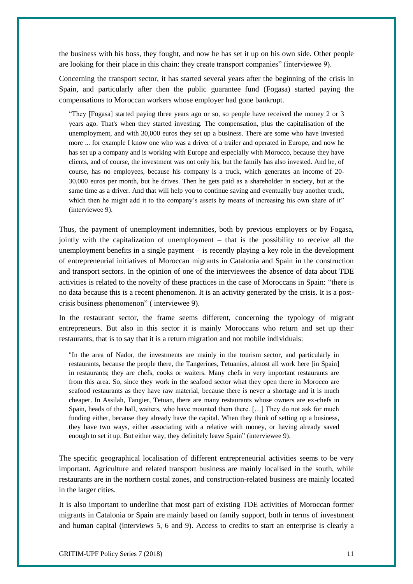the business with his boss, they fought, and now he has set it up on his own side. Other people are looking for their place in this chain: they create transport companies" (interviewee 9).

Concerning the transport sector, it has started several years after the beginning of the crisis in Spain, and particularly after then the public guarantee fund (Fogasa) started paying the compensations to Moroccan workers whose employer had gone bankrupt.

"They [Fogasa] started paying three years ago or so, so people have received the money 2 or 3 years ago. That's when they started investing. The compensation, plus the capitalisation of the unemployment, and with 30,000 euros they set up a business. There are some who have invested more ... for example I know one who was a driver of a trailer and operated in Europe, and now he has set up a company and is working with Europe and especially with Morocco, because they have clients, and of course, the investment was not only his, but the family has also invested. And he, of course, has no employees, because his company is a truck, which generates an income of 20- 30,000 euros per month, but he drives. Then he gets paid as a shareholder in society, but at the same time as a driver. And that will help you to continue saving and eventually buy another truck, which then he might add it to the company's assets by means of increasing his own share of it" (interviewee 9).

Thus, the payment of unemployment indemnities, both by previous employers or by Fogasa, jointly with the capitalization of unemployment – that is the possibility to receive all the unemployment benefits in a single payment – is recently playing a key role in the development of entrepreneurial initiatives of Moroccan migrants in Catalonia and Spain in the construction and transport sectors. In the opinion of one of the interviewees the absence of data about TDE activities is related to the novelty of these practices in the case of Moroccans in Spain: "there is no data because this is a recent phenomenon. It is an activity generated by the crisis. It is a postcrisis business phenomenon" ( interviewee 9).

In the restaurant sector, the frame seems different, concerning the typology of migrant entrepreneurs. But also in this sector it is mainly Moroccans who return and set up their restaurants, that is to say that it is a return migration and not mobile individuals:

"In the area of Nador, the investments are mainly in the tourism sector, and particularly in restaurants, because the people there, the Tangerines, Tetuaníes, almost all work here [in Spain] in restaurants; they are chefs, cooks or waiters. Many chefs in very important restaurants are from this area. So, since they work in the seafood sector what they open there in Morocco are seafood restaurants as they have raw material, because there is never a shortage and it is much cheaper. In Assilah, Tangier, Tetuan, there are many restaurants whose owners are ex-chefs in Spain, heads of the hall, waiters, who have mounted them there. […] They do not ask for much funding either, because they already have the capital. When they think of setting up a business, they have two ways, either associating with a relative with money, or having already saved enough to set it up. But either way, they definitely leave Spain" (interviewee 9).

The specific geographical localisation of different entrepreneurial activities seems to be very important. Agriculture and related transport business are mainly localised in the south, while restaurants are in the northern costal zones, and construction-related business are mainly located in the larger cities.

It is also important to underline that most part of existing TDE activities of Moroccan former migrants in Catalonia or Spain are mainly based on family support, both in terms of investment and human capital (interviews 5, 6 and 9). Access to credits to start an enterprise is clearly a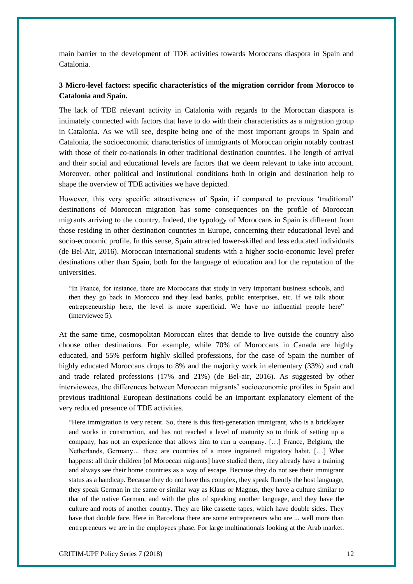main barrier to the development of TDE activities towards Moroccans diaspora in Spain and Catalonia.

# **3 Micro-level factors: specific characteristics of the migration corridor from Morocco to Catalonia and Spain.**

The lack of TDE relevant activity in Catalonia with regards to the Moroccan diaspora is intimately connected with factors that have to do with their characteristics as a migration group in Catalonia. As we will see, despite being one of the most important groups in Spain and Catalonia, the socioeconomic characteristics of immigrants of Moroccan origin notably contrast with those of their co-nationals in other traditional destination countries. The length of arrival and their social and educational levels are factors that we deem relevant to take into account. Moreover, other political and institutional conditions both in origin and destination help to shape the overview of TDE activities we have depicted.

However, this very specific attractiveness of Spain, if compared to previous 'traditional' destinations of Moroccan migration has some consequences on the profile of Moroccan migrants arriving to the country. Indeed, the typology of Moroccans in Spain is different from those residing in other destination countries in Europe, concerning their educational level and socio-economic profile. In this sense, Spain attracted lower-skilled and less educated individuals (de Bel-Air, 2016). Moroccan international students with a higher socio-economic level prefer destinations other than Spain, both for the language of education and for the reputation of the universities.

"In France, for instance, there are Moroccans that study in very important business schools, and then they go back in Morocco and they lead banks, public enterprises, etc. If we talk about entrepreneurship here, the level is more superficial. We have no influential people here" (interviewee 5).

At the same time, cosmopolitan Moroccan elites that decide to live outside the country also choose other destinations. For example, while 70% of Moroccans in Canada are highly educated, and 55% perform highly skilled professions, for the case of Spain the number of highly educated Moroccans drops to 8% and the majority work in elementary (33%) and craft and trade related professions (17% and 21%) (de Bel-air, 2016). As suggested by other interviewees, the differences between Moroccan migrants' socioeconomic profiles in Spain and previous traditional European destinations could be an important explanatory element of the very reduced presence of TDE activities.

"Here immigration is very recent. So, there is this first-generation immigrant, who is a bricklayer and works in construction, and has not reached a level of maturity so to think of setting up a company, has not an experience that allows him to run a company. […] France, Belgium, the Netherlands, Germany… these are countries of a more ingrained migratory habit. […] What happens: all their children [of Moroccan migrants] have studied there, they already have a training and always see their home countries as a way of escape. Because they do not see their immigrant status as a handicap. Because they do not have this complex, they speak fluently the host language, they speak German in the same or similar way as Klaus or Magnus, they have a culture similar to that of the native German, and with the plus of speaking another language, and they have the culture and roots of another country. They are like cassette tapes, which have double sides. They have that double face. Here in Barcelona there are some entrepreneurs who are ... well more than entrepreneurs we are in the employees phase. For large multinationals looking at the Arab market.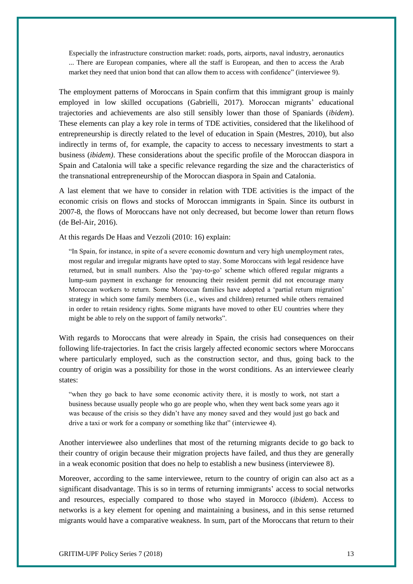Especially the infrastructure construction market: roads, ports, airports, naval industry, aeronautics ... There are European companies, where all the staff is European, and then to access the Arab market they need that union bond that can allow them to access with confidence" (interviewee 9).

The employment patterns of Moroccans in Spain confirm that this immigrant group is mainly employed in low skilled occupations (Gabrielli, 2017). Moroccan migrants' educational trajectories and achievements are also still sensibly lower than those of Spaniards (*ibidem*). These elements can play a key role in terms of TDE activities, considered that the likelihood of entrepreneurship is directly related to the level of education in Spain (Mestres, 2010), but also indirectly in terms of, for example, the capacity to access to necessary investments to start a business (*ibidem)*. These considerations about the specific profile of the Moroccan diaspora in Spain and Catalonia will take a specific relevance regarding the size and the characteristics of the transnational entrepreneurship of the Moroccan diaspora in Spain and Catalonia.

A last element that we have to consider in relation with TDE activities is the impact of the economic crisis on flows and stocks of Moroccan immigrants in Spain. Since its outburst in 2007-8, the flows of Moroccans have not only decreased, but become lower than return flows (de Bel-Air, 2016).

At this regards De Haas and Vezzoli (2010: 16) explain:

"In Spain, for instance, in spite of a severe economic downturn and very high unemployment rates, most regular and irregular migrants have opted to stay. Some Moroccans with legal residence have returned, but in small numbers. Also the 'pay-to-go' scheme which offered regular migrants a lump-sum payment in exchange for renouncing their resident permit did not encourage many Moroccan workers to return. Some Moroccan families have adopted a 'partial return migration' strategy in which some family members (i.e., wives and children) returned while others remained in order to retain residency rights. Some migrants have moved to other EU countries where they might be able to rely on the support of family networks".

With regards to Moroccans that were already in Spain, the crisis had consequences on their following life-trajectories. In fact the crisis largely affected economic sectors where Moroccans where particularly employed, such as the construction sector, and thus, going back to the country of origin was a possibility for those in the worst conditions. As an interviewee clearly states:

"when they go back to have some economic activity there, it is mostly to work, not start a business because usually people who go are people who, when they went back some years ago it was because of the crisis so they didn't have any money saved and they would just go back and drive a taxi or work for a company or something like that" (interviewee 4).

Another interviewee also underlines that most of the returning migrants decide to go back to their country of origin because their migration projects have failed, and thus they are generally in a weak economic position that does no help to establish a new business (interviewee 8).

Moreover, according to the same interviewee, return to the country of origin can also act as a significant disadvantage. This is so in terms of returning immigrants' access to social networks and resources, especially compared to those who stayed in Morocco (*ibidem*). Access to networks is a key element for opening and maintaining a business, and in this sense returned migrants would have a comparative weakness. In sum, part of the Moroccans that return to their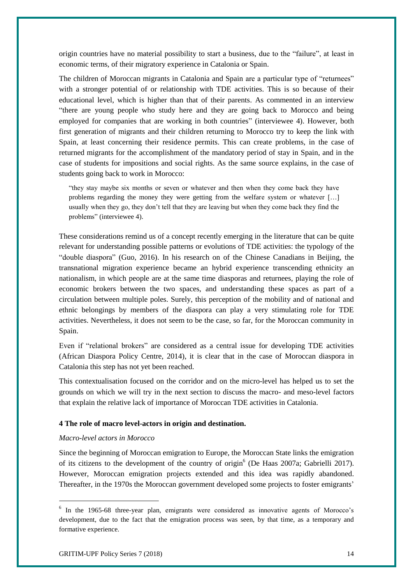origin countries have no material possibility to start a business, due to the "failure", at least in economic terms, of their migratory experience in Catalonia or Spain.

The children of Moroccan migrants in Catalonia and Spain are a particular type of "returnees" with a stronger potential of or relationship with TDE activities. This is so because of their educational level, which is higher than that of their parents. As commented in an interview "there are young people who study here and they are going back to Morocco and being employed for companies that are working in both countries" (interviewee 4). However, both first generation of migrants and their children returning to Morocco try to keep the link with Spain, at least concerning their residence permits. This can create problems, in the case of returned migrants for the accomplishment of the mandatory period of stay in Spain, and in the case of students for impositions and social rights. As the same source explains, in the case of students going back to work in Morocco:

"they stay maybe six months or seven or whatever and then when they come back they have problems regarding the money they were getting from the welfare system or whatever […] usually when they go, they don't tell that they are leaving but when they come back they find the problems" (interviewee 4).

These considerations remind us of a concept recently emerging in the literature that can be quite relevant for understanding possible patterns or evolutions of TDE activities: the typology of the "double diaspora" (Guo, 2016). In his research on of the Chinese Canadians in Beijing, the transnational migration experience became an hybrid experience transcending ethnicity an nationalism, in which people are at the same time diasporas and returnees, playing the role of economic brokers between the two spaces, and understanding these spaces as part of a circulation between multiple poles. Surely, this perception of the mobility and of national and ethnic belongings by members of the diaspora can play a very stimulating role for TDE activities. Nevertheless, it does not seem to be the case, so far, for the Moroccan community in Spain.

Even if "relational brokers" are considered as a central issue for developing TDE activities (African Diaspora Policy Centre, 2014), it is clear that in the case of Moroccan diaspora in Catalonia this step has not yet been reached.

This contextualisation focused on the corridor and on the micro-level has helped us to set the grounds on which we will try in the next section to discuss the macro- and meso-level factors that explain the relative lack of importance of Moroccan TDE activities in Catalonia.

### **4 The role of macro level-actors in origin and destination.**

# *Macro-level actors in Morocco*

1

Since the beginning of Moroccan emigration to Europe, the Moroccan State links the emigration of its citizens to the development of the country of origin<sup>6</sup> (De Haas 2007a; Gabrielli 2017). However, Moroccan emigration projects extended and this idea was rapidly abandoned. Thereafter, in the 1970s the Moroccan government developed some projects to foster emigrants'

<sup>&</sup>lt;sup>6</sup> In the 1965-68 three-year plan, emigrants were considered as innovative agents of Morocco's development, due to the fact that the emigration process was seen, by that time, as a temporary and formative experience.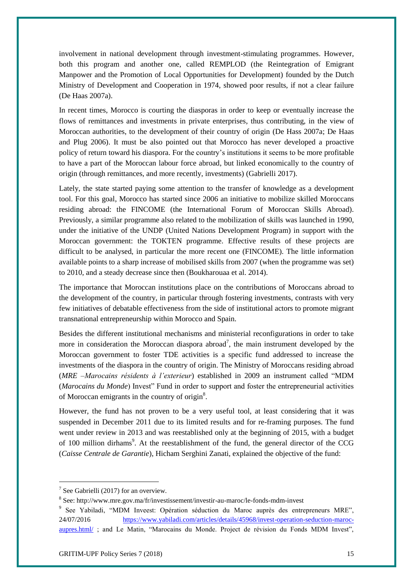involvement in national development through investment-stimulating programmes. However, both this program and another one, called REMPLOD (the Reintegration of Emigrant Manpower and the Promotion of Local Opportunities for Development) founded by the Dutch Ministry of Development and Cooperation in 1974, showed poor results, if not a clear failure (De Haas 2007a).

In recent times, Morocco is courting the diasporas in order to keep or eventually increase the flows of remittances and investments in private enterprises, thus contributing, in the view of Moroccan authorities, to the development of their country of origin (De Hass 2007a; De Haas and Plug 2006). It must be also pointed out that Morocco has never developed a proactive policy of return toward his diaspora. For the country's institutions it seems to be more profitable to have a part of the Moroccan labour force abroad, but linked economically to the country of origin (through remittances, and more recently, investments) (Gabrielli 2017).

Lately, the state started paying some attention to the transfer of knowledge as a development tool. For this goal, Morocco has started since 2006 an initiative to mobilize skilled Moroccans residing abroad: the FINCOME (the International Forum of Moroccan Skills Abroad). Previously, a similar programme also related to the mobilization of skills was launched in 1990, under the initiative of the UNDP (United Nations Development Program) in support with the Moroccan government: the TOKTEN programme. Effective results of these projects are difficult to be analysed, in particular the more recent one (FINCOME). The little information available points to a sharp increase of mobilised skills from 2007 (when the programme was set) to 2010, and a steady decrease since then (Boukharouaa et al. 2014).

The importance that Moroccan institutions place on the contributions of Moroccans abroad to the development of the country, in particular through fostering investments, contrasts with very few initiatives of debatable effectiveness from the side of institutional actors to promote migrant transnational entrepreneurship within Morocco and Spain.

Besides the different institutional mechanisms and ministerial reconfigurations in order to take more in consideration the Moroccan diaspora abroad<sup>7</sup>, the main instrument developed by the Moroccan government to foster TDE activities is a specific fund addressed to increase the investments of the diaspora in the country of origin. The Ministry of Moroccans residing abroad (*MRE –Marocains résidents à l'exterieur*) established in 2009 an instrument called "MDM (*Marocains du Monde*) Invest" Fund in order to support and foster the entrepreneurial activities of Moroccan emigrants in the country of origin<sup>8</sup>.

However, the fund has not proven to be a very useful tool, at least considering that it was suspended in December 2011 due to its limited results and for re-framing purposes. The fund went under review in 2013 and was reestablished only at the beginning of 2015, with a budget of 100 million dirhams<sup>9</sup>. At the reestablishment of the fund, the general director of the CCG (*Caisse Centrale de Garantie*), Hicham Serghini Zanati, explained the objective of the fund:

 $7$  See Gabrielli (2017) for an overview.

<sup>&</sup>lt;sup>8</sup> See: http://www.mre.gov.ma/fr/investissement/investir-au-maroc/le-fonds-mdm-invest

<sup>9</sup> See Yabiladi, "MDM Inveest: Opération séduction du Maroc auprès des entrepreneurs MRE", 24/07/2016 [https://www.yabiladi.com/articles/details/45968/invest-operation-seduction-maroc](https://www.yabiladi.com/articles/details/45968/invest-operation-seduction-maroc-aupres.html/)[aupres.html/](https://www.yabiladi.com/articles/details/45968/invest-operation-seduction-maroc-aupres.html/) ; and Le Matin, "Marocains du Monde. Project de révision du Fonds MDM Invest",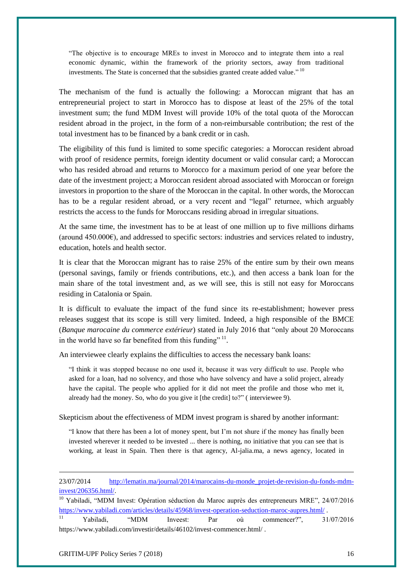"The objective is to encourage MREs to invest in Morocco and to integrate them into a real economic dynamic, within the framework of the priority sectors, away from traditional investments. The State is concerned that the subsidies granted create added value."<sup>10</sup>

The mechanism of the fund is actually the following: a Moroccan migrant that has an entrepreneurial project to start in Morocco has to dispose at least of the 25% of the total investment sum; the fund MDM Invest will provide 10% of the total quota of the Moroccan resident abroad in the project, in the form of a non-reimbursable contribution; the rest of the total investment has to be financed by a bank credit or in cash.

The eligibility of this fund is limited to some specific categories: a Moroccan resident abroad with proof of residence permits, foreign identity document or valid consular card; a Moroccan who has resided abroad and returns to Morocco for a maximum period of one year before the date of the investment project; a Moroccan resident abroad associated with Moroccan or foreign investors in proportion to the share of the Moroccan in the capital. In other words, the Moroccan has to be a regular resident abroad, or a very recent and "legal" returnee, which arguably restricts the access to the funds for Moroccans residing abroad in irregular situations.

At the same time, the investment has to be at least of one million up to five millions dirhams (around 450.000€), and addressed to specific sectors: industries and services related to industry, education, hotels and health sector.

It is clear that the Moroccan migrant has to raise 25% of the entire sum by their own means (personal savings, family or friends contributions, etc.), and then access a bank loan for the main share of the total investment and, as we will see, this is still not easy for Moroccans residing in Catalonia or Spain.

It is difficult to evaluate the impact of the fund since its re-establishment; however press releases suggest that its scope is still very limited. Indeed, a high responsible of the BMCE (*Banque marocaine du commerce extérieur*) stated in July 2016 that "only about 20 Moroccans in the world have so far benefited from this funding"<sup>11</sup>.

An interviewee clearly explains the difficulties to access the necessary bank loans:

"I think it was stopped because no one used it, because it was very difficult to use. People who asked for a loan, had no solvency, and those who have solvency and have a solid project, already have the capital. The people who applied for it did not meet the profile and those who met it, already had the money. So, who do you give it [the credit] to?" ( interviewee 9).

Skepticism about the effectiveness of MDM invest program is shared by another informant:

"I know that there has been a lot of money spent, but I'm not shure if the money has finally been invested wherever it needed to be invested ... there is nothing, no initiative that you can see that is working, at least in Spain. Then there is that agency, Al-jalia.ma, a news agency, located in

23/07/2014 [http://lematin.ma/journal/2014/marocains-du-monde\\_projet-de-revision-du-fonds-mdm](http://lematin.ma/journal/2014/marocains-du-monde_projet-de-revision-du-fonds-mdm-invest/206356.html/)[invest/206356.html/.](http://lematin.ma/journal/2014/marocains-du-monde_projet-de-revision-du-fonds-mdm-invest/206356.html/)

<sup>10</sup> Yabiladi, "MDM Invest: Opération séduction du Maroc auprès des entrepreneurs MRE", 24/07/2016 <https://www.yabiladi.com/articles/details/45968/invest-operation-seduction-maroc-aupres.html/> .

<sup>11</sup> Yabiladi, "MDM Inveest: Par où commencer?", 31/07/2016 https://www.yabiladi.com/investir/details/46102/invest-commencer.html/ .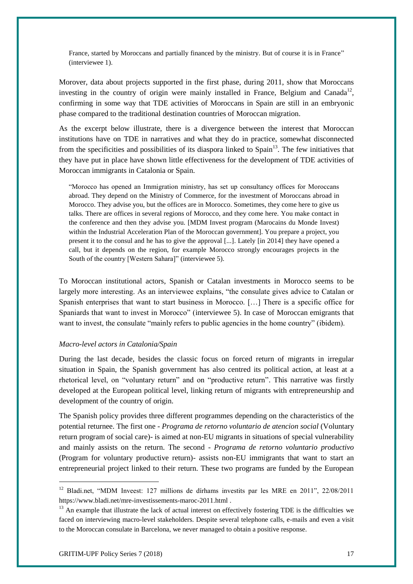France, started by Moroccans and partially financed by the ministry. But of course it is in France" (interviewee 1).

Morover, data about projects supported in the first phase, during 2011, show that Moroccans investing in the country of origin were mainly installed in France, Belgium and Canada<sup>12</sup>, confirming in some way that TDE activities of Moroccans in Spain are still in an embryonic phase compared to the traditional destination countries of Moroccan migration.

As the excerpt below illustrate, there is a divergence between the interest that Moroccan institutions have on TDE in narratives and what they do in practice, somewhat disconnected from the specificities and possibilities of its diaspora linked to Spain<sup>13</sup>. The few initiatives that they have put in place have shown little effectiveness for the development of TDE activities of Moroccan immigrants in Catalonia or Spain.

"Morocco has opened an Immigration ministry, has set up consultancy offices for Moroccans abroad. They depend on the Ministry of Commerce, for the investment of Moroccans abroad in Morocco. They advise you, but the offices are in Morocco. Sometimes, they come here to give us talks. There are offices in several regions of Morocco, and they come here. You make contact in the conference and then they advise you. [MDM Invest program (Marocains du Monde Invest) within the Industrial Acceleration Plan of the Moroccan government]. You prepare a project, you present it to the consul and he has to give the approval [...]. Lately [in 2014] they have opened a call, but it depends on the region, for example Morocco strongly encourages projects in the South of the country [Western Sahara]" (interviewee 5).

To Moroccan institutional actors, Spanish or Catalan investments in Morocco seems to be largely more interesting. As an interviewee explains, "the consulate gives advice to Catalan or Spanish enterprises that want to start business in Morocco. […] There is a specific office for Spaniards that want to invest in Morocco" (interviewee 5). In case of Moroccan emigrants that want to invest, the consulate "mainly refers to public agencies in the home country" (ibidem).

## *Macro-level actors in Catalonia/Spain*

During the last decade, besides the classic focus on forced return of migrants in irregular situation in Spain, the Spanish government has also centred its political action, at least at a rhetorical level, on "voluntary return" and on "productive return". This narrative was firstly developed at the European political level, linking return of migrants with entrepreneurship and development of the country of origin.

The Spanish policy provides three different programmes depending on the characteristics of the potential returnee. The first one - *Programa de retorno voluntario de atencion social* (Voluntary return program of social care)- is aimed at non-EU migrants in situations of special vulnerability and mainly assists on the return. The second - *Programa de retorno voluntario productivo* (Program for voluntary productive return)- assists non-EU immigrants that want to start an entrepreneurial project linked to their return. These two programs are funded by the European

<sup>12</sup> Bladi.net, "MDM Inveest: 127 millions de dírhams investits par les MRE en 2011", 22/08/2011 https://www.bladi.net/mre-investissements-maroc-2011.html .

 $13$  An example that illustrate the lack of actual interest on effectively fostering TDE is the difficulties we faced on interviewing macro-level stakeholders. Despite several telephone calls, e-mails and even a visit to the Moroccan consulate in Barcelona, we never managed to obtain a positive response.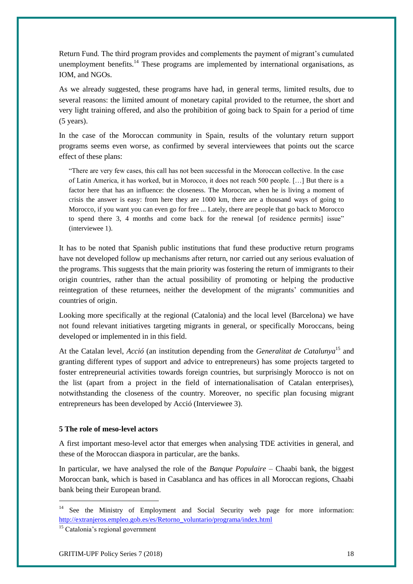Return Fund. The third program provides and complements the payment of migrant's cumulated unemployment benefits.<sup>14</sup> These programs are implemented by international organisations, as IOM, and NGOs.

As we already suggested, these programs have had, in general terms, limited results, due to several reasons: the limited amount of monetary capital provided to the returnee, the short and very light training offered, and also the prohibition of going back to Spain for a period of time (5 years).

In the case of the Moroccan community in Spain, results of the voluntary return support programs seems even worse, as confirmed by several interviewees that points out the scarce effect of these plans:

"There are very few cases, this call has not been successful in the Moroccan collective. In the case of Latin America, it has worked, but in Morocco, it does not reach 500 people. […] But there is a factor here that has an influence: the closeness. The Moroccan, when he is living a moment of crisis the answer is easy: from here they are 1000 km, there are a thousand ways of going to Morocco, if you want you can even go for free ... Lately, there are people that go back to Morocco to spend there 3, 4 months and come back for the renewal [of residence permits] issue" (interviewee 1).

It has to be noted that Spanish public institutions that fund these productive return programs have not developed follow up mechanisms after return, nor carried out any serious evaluation of the programs. This suggests that the main priority was fostering the return of immigrants to their origin countries, rather than the actual possibility of promoting or helping the productive reintegration of these returnees, neither the development of the migrants' communities and countries of origin.

Looking more specifically at the regional (Catalonia) and the local level (Barcelona) we have not found relevant initiatives targeting migrants in general, or specifically Moroccans, being developed or implemented in in this field.

At the Catalan level, *Acció* (an institution depending from the *Generalitat de Catalunya*<sup>15</sup> and granting different types of support and advice to entrepreneurs) has some projects targeted to foster entrepreneurial activities towards foreign countries, but surprisingly Morocco is not on the list (apart from a project in the field of internationalisation of Catalan enterprises), notwithstanding the closeness of the country. Moreover, no specific plan focusing migrant entrepreneurs has been developed by Acció (Interviewee 3).

# **5 The role of meso-level actors**

A first important meso-level actor that emerges when analysing TDE activities in general, and these of the Moroccan diaspora in particular, are the banks.

In particular, we have analysed the role of the *Banque Populaire* – Chaabi bank, the biggest Moroccan bank, which is based in Casablanca and has offices in all Moroccan regions, Chaabi bank being their European brand.

1

<sup>&</sup>lt;sup>14</sup> See the Ministry of Employment and Social Security web page for more information: [http://extranjeros.empleo.gob.es/es/Retorno\\_voluntario/programa/index.html](http://extranjeros.empleo.gob.es/es/Retorno_voluntario/programa/index.html)

<sup>15</sup> Catalonia's regional government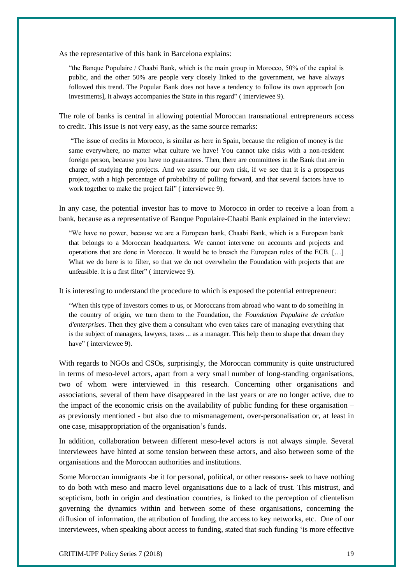As the representative of this bank in Barcelona explains:

"the Banque Populaire / Chaabi Bank, which is the main group in Morocco, 50% of the capital is public, and the other 50% are people very closely linked to the government, we have always followed this trend. The Popular Bank does not have a tendency to follow its own approach [on investments], it always accompanies the State in this regard" ( interviewee 9).

The role of banks is central in allowing potential Moroccan transnational entrepreneurs access to credit. This issue is not very easy, as the same source remarks:

"The issue of credits in Morocco, is similar as here in Spain, because the religion of money is the same everywhere, no matter what culture we have! You cannot take risks with a non-resident foreign person, because you have no guarantees. Then, there are committees in the Bank that are in charge of studying the projects. And we assume our own risk, if we see that it is a prosperous project, with a high percentage of probability of pulling forward, and that several factors have to work together to make the project fail" (interviewee 9).

In any case, the potential investor has to move to Morocco in order to receive a loan from a bank, because as a representative of Banque Populaire-Chaabi Bank explained in the interview:

"We have no power, because we are a European bank, Chaabi Bank, which is a European bank that belongs to a Moroccan headquarters. We cannot intervene on accounts and projects and operations that are done in Morocco. It would be to breach the European rules of the ECB. […] What we do here is to filter, so that we do not overwhelm the Foundation with projects that are unfeasible. It is a first filter" ( interviewee 9).

It is interesting to understand the procedure to which is exposed the potential entrepreneur:

"When this type of investors comes to us, or Moroccans from abroad who want to do something in the country of origin, we turn them to the Foundation, the *Foundation Populaire de création d'enterprises*. Then they give them a consultant who even takes care of managing everything that is the subject of managers, lawyers, taxes ... as a manager. This help them to shape that dream they have" (interviewee 9).

With regards to NGOs and CSOs, surprisingly, the Moroccan community is quite unstructured in terms of meso-level actors, apart from a very small number of long-standing organisations, two of whom were interviewed in this research. Concerning other organisations and associations, several of them have disappeared in the last years or are no longer active, due to the impact of the economic crisis on the availability of public funding for these organisation – as previously mentioned - but also due to mismanagement, over-personalisation or, at least in one case, misappropriation of the organisation's funds.

In addition, collaboration between different meso-level actors is not always simple. Several interviewees have hinted at some tension between these actors, and also between some of the organisations and the Moroccan authorities and institutions.

Some Moroccan immigrants -be it for personal, political, or other reasons- seek to have nothing to do both with meso and macro level organisations due to a lack of trust. This mistrust, and scepticism, both in origin and destination countries, is linked to the perception of clientelism governing the dynamics within and between some of these organisations, concerning the diffusion of information, the attribution of funding, the access to key networks, etc. One of our interviewees, when speaking about access to funding, stated that such funding 'is more effective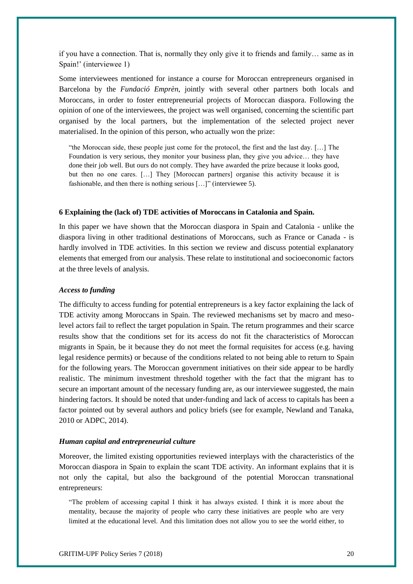if you have a connection. That is, normally they only give it to friends and family… same as in Spain!' (interviewee 1)

Some interviewees mentioned for instance a course for Moroccan entrepreneurs organised in Barcelona by the *Fundació Emprèn*, jointly with several other partners both locals and Moroccans, in order to foster entrepreneurial projects of Moroccan diaspora. Following the opinion of one of the interviewees, the project was well organised, concerning the scientific part organised by the local partners, but the implementation of the selected project never materialised. In the opinion of this person, who actually won the prize:

"the Moroccan side, these people just come for the protocol, the first and the last day. […] The Foundation is very serious, they monitor your business plan, they give you advice… they have done their job well. But ours do not comply. They have awarded the prize because it looks good, but then no one cares. […] They [Moroccan partners] organise this activity because it is fashionable, and then there is nothing serious […]" (interviewee 5).

#### **6 Explaining the (lack of) TDE activities of Moroccans in Catalonia and Spain.**

In this paper we have shown that the Moroccan diaspora in Spain and Catalonia - unlike the diaspora living in other traditional destinations of Moroccans, such as France or Canada - is hardly involved in TDE activities. In this section we review and discuss potential explanatory elements that emerged from our analysis. These relate to institutional and socioeconomic factors at the three levels of analysis.

# *Access to funding*

The difficulty to access funding for potential entrepreneurs is a key factor explaining the lack of TDE activity among Moroccans in Spain. The reviewed mechanisms set by macro and mesolevel actors fail to reflect the target population in Spain. The return programmes and their scarce results show that the conditions set for its access do not fit the characteristics of Moroccan migrants in Spain, be it because they do not meet the formal requisites for access (e.g. having legal residence permits) or because of the conditions related to not being able to return to Spain for the following years. The Moroccan government initiatives on their side appear to be hardly realistic. The minimum investment threshold together with the fact that the migrant has to secure an important amount of the necessary funding are, as our interviewee suggested, the main hindering factors. It should be noted that under-funding and lack of access to capitals has been a factor pointed out by several authors and policy briefs (see for example, Newland and Tanaka, 2010 or ADPC, 2014).

#### *Human capital and entrepreneurial culture*

Moreover, the limited existing opportunities reviewed interplays with the characteristics of the Moroccan diaspora in Spain to explain the scant TDE activity. An informant explains that it is not only the capital, but also the background of the potential Moroccan transnational entrepreneurs:

"The problem of accessing capital I think it has always existed. I think it is more about the mentality, because the majority of people who carry these initiatives are people who are very limited at the educational level. And this limitation does not allow you to see the world either, to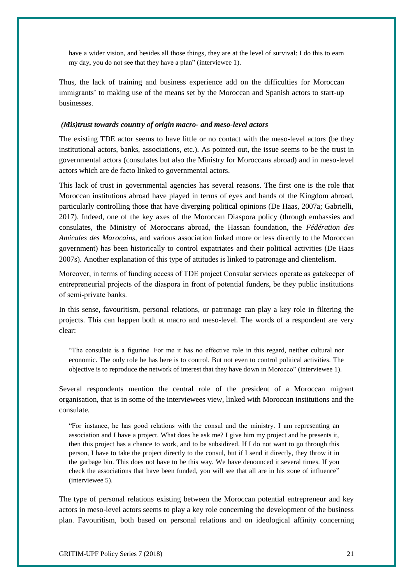have a wider vision, and besides all those things, they are at the level of survival: I do this to earn my day, you do not see that they have a plan" (interviewee 1).

Thus, the lack of training and business experience add on the difficulties for Moroccan immigrants' to making use of the means set by the Moroccan and Spanish actors to start-up businesses.

#### *(Mis)trust towards country of origin macro- and meso-level actors*

The existing TDE actor seems to have little or no contact with the meso-level actors (be they institutional actors, banks, associations, etc.). As pointed out, the issue seems to be the trust in governmental actors (consulates but also the Ministry for Moroccans abroad) and in meso-level actors which are de facto linked to governmental actors.

This lack of trust in governmental agencies has several reasons. The first one is the role that Moroccan institutions abroad have played in terms of eyes and hands of the Kingdom abroad, particularly controlling those that have diverging political opinions (De Haas, 2007a; Gabrielli, 2017). Indeed, one of the key axes of the Moroccan Diaspora policy (through embassies and consulates, the Ministry of Moroccans abroad, the Hassan foundation, the *Fédération des Amicales des Marocains*, and various association linked more or less directly to the Moroccan government) has been historically to control expatriates and their political activities (De Haas 2007s). Another explanation of this type of attitudes is linked to patronage and clientelism.

Moreover, in terms of funding access of TDE project Consular services operate as gatekeeper of entrepreneurial projects of the diaspora in front of potential funders, be they public institutions of semi-private banks.

In this sense, favouritism, personal relations, or patronage can play a key role in filtering the projects. This can happen both at macro and meso-level. The words of a respondent are very clear:

"The consulate is a figurine. For me it has no effective role in this regard, neither cultural nor economic. The only role he has here is to control. But not even to control political activities. The objective is to reproduce the network of interest that they have down in Morocco" (interviewee 1).

Several respondents mention the central role of the president of a Moroccan migrant organisation, that is in some of the interviewees view, linked with Moroccan institutions and the consulate.

"For instance, he has good relations with the consul and the ministry. I am representing an association and I have a project. What does he ask me? I give him my project and he presents it, then this project has a chance to work, and to be subsidized. If I do not want to go through this person, I have to take the project directly to the consul, but if I send it directly, they throw it in the garbage bin. This does not have to be this way. We have denounced it several times. If you check the associations that have been funded, you will see that all are in his zone of influence" (interviewee 5).

The type of personal relations existing between the Moroccan potential entrepreneur and key actors in meso-level actors seems to play a key role concerning the development of the business plan. Favouritism, both based on personal relations and on ideological affinity concerning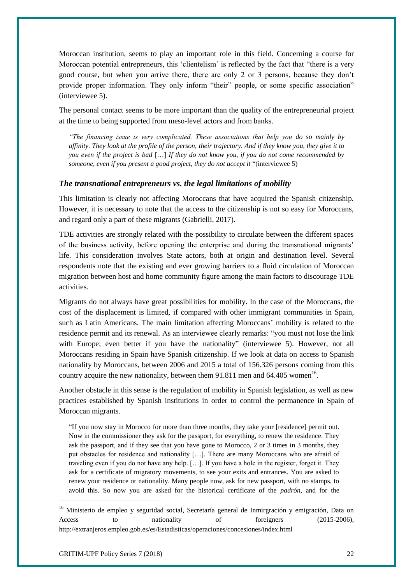Moroccan institution, seems to play an important role in this field. Concerning a course for Moroccan potential entrepreneurs, this 'clientelism' is reflected by the fact that "there is a very good course, but when you arrive there, there are only 2 or 3 persons, because they don't provide proper information. They only inform "their" people, or some specific association" (interviewee 5).

The personal contact seems to be more important than the quality of the entrepreneurial project at the time to being supported from meso-level actors and from banks.

*"The financing issue is very complicated. These associations that help you do so mainly by affinity. They look at the profile of the person, their trajectory. And if they know you, they give it to you even if the project is bad* […] *If they do not know you, if you do not come recommended by someone, even if you present a good project, they do not accept it* "(interviewee 5)

# *The transnational entrepreneurs vs. the legal limitations of mobility*

This limitation is clearly not affecting Moroccans that have acquired the Spanish citizenship. However, it is necessary to note that the access to the citizenship is not so easy for Moroccans, and regard only a part of these migrants (Gabrielli, 2017).

TDE activities are strongly related with the possibility to circulate between the different spaces of the business activity, before opening the enterprise and during the transnational migrants' life. This consideration involves State actors, both at origin and destination level. Several respondents note that the existing and ever growing barriers to a fluid circulation of Moroccan migration between host and home community figure among the main factors to discourage TDE activities.

Migrants do not always have great possibilities for mobility. In the case of the Moroccans, the cost of the displacement is limited, if compared with other immigrant communities in Spain, such as Latin Americans. The main limitation affecting Moroccans' mobility is related to the residence permit and its renewal. As an interviewee clearly remarks: "you must not lose the link with Europe; even better if you have the nationality" (interviewee 5). However, not all Moroccans residing in Spain have Spanish citizenship. If we look at data on access to Spanish nationality by Moroccans, between 2006 and 2015 a total of 156.326 persons coming from this country acquire the new nationality, between them  $91.811$  men and  $64.405$  women<sup>16</sup>.

Another obstacle in this sense is the regulation of mobility in Spanish legislation, as well as new practices established by Spanish institutions in order to control the permanence in Spain of Moroccan migrants.

"If you now stay in Morocco for more than three months, they take your [residence] permit out. Now in the commissioner they ask for the passport, for everything, to renew the residence. They ask the passport, and if they see that you have gone to Morocco, 2 or 3 times in 3 months, they put obstacles for residence and nationality […]. There are many Moroccans who are afraid of traveling even if you do not have any help. […]. If you have a hole in the register, forget it. They ask for a certificate of migratory movements, to see your exits and entrances. You are asked to renew your residence or nationality. Many people now, ask for new passport, with no stamps, to avoid this. So now you are asked for the historical certificate of the *padrón*, and for the

1

<sup>&</sup>lt;sup>16</sup> Ministerio de empleo y seguridad social, Secretaría general de Inmirgración y emigración, Data on Access to nationality of foreigners (2015-2006), http://extranjeros.empleo.gob.es/es/Estadisticas/operaciones/concesiones/index.html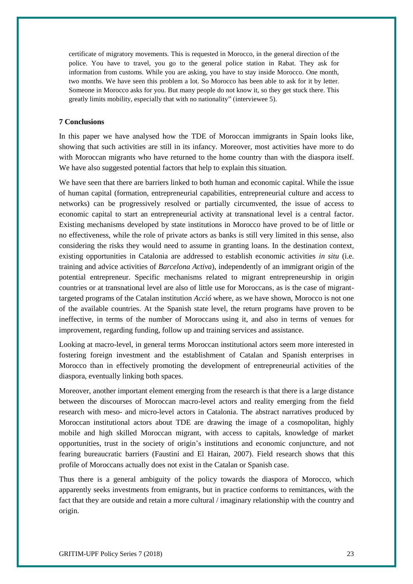certificate of migratory movements. This is requested in Morocco, in the general direction of the police. You have to travel, you go to the general police station in Rabat. They ask for information from customs. While you are asking, you have to stay inside Morocco. One month, two months. We have seen this problem a lot. So Morocco has been able to ask for it by letter. Someone in Morocco asks for you. But many people do not know it, so they get stuck there. This greatly limits mobility, especially that with no nationality" (interviewee 5).

# **7 Conclusions**

In this paper we have analysed how the TDE of Moroccan immigrants in Spain looks like, showing that such activities are still in its infancy. Moreover, most activities have more to do with Moroccan migrants who have returned to the home country than with the diaspora itself. We have also suggested potential factors that help to explain this situation.

We have seen that there are barriers linked to both human and economic capital. While the issue of human capital (formation, entrepreneurial capabilities, entrepreneurial culture and access to networks) can be progressively resolved or partially circumvented, the issue of access to economic capital to start an entrepreneurial activity at transnational level is a central factor. Existing mechanisms developed by state institutions in Morocco have proved to be of little or no effectiveness, while the role of private actors as banks is still very limited in this sense, also considering the risks they would need to assume in granting loans. In the destination context, existing opportunities in Catalonia are addressed to establish economic activities *in situ* (i.e. training and advice activities of *Barcelona Activa*), independently of an immigrant origin of the potential entrepreneur. Specific mechanisms related to migrant entrepreneurship in origin countries or at transnational level are also of little use for Moroccans, as is the case of migranttargeted programs of the Catalan institution *Acció* where, as we have shown, Morocco is not one of the available countries. At the Spanish state level, the return programs have proven to be ineffective, in terms of the number of Moroccans using it, and also in terms of venues for improvement, regarding funding, follow up and training services and assistance.

Looking at macro-level, in general terms Moroccan institutional actors seem more interested in fostering foreign investment and the establishment of Catalan and Spanish enterprises in Morocco than in effectively promoting the development of entrepreneurial activities of the diaspora, eventually linking both spaces.

Moreover, another important element emerging from the research is that there is a large distance between the discourses of Moroccan macro-level actors and reality emerging from the field research with meso- and micro-level actors in Catalonia. The abstract narratives produced by Moroccan institutional actors about TDE are drawing the image of a cosmopolitan, highly mobile and high skilled Moroccan migrant, with access to capitals, knowledge of market opportunities, trust in the society of origin's institutions and economic conjuncture, and not fearing bureaucratic barriers (Faustini and El Hairan, 2007). Field research shows that this profile of Moroccans actually does not exist in the Catalan or Spanish case.

Thus there is a general ambiguity of the policy towards the diaspora of Morocco, which apparently seeks investments from emigrants, but in practice conforms to remittances, with the fact that they are outside and retain a more cultural / imaginary relationship with the country and origin.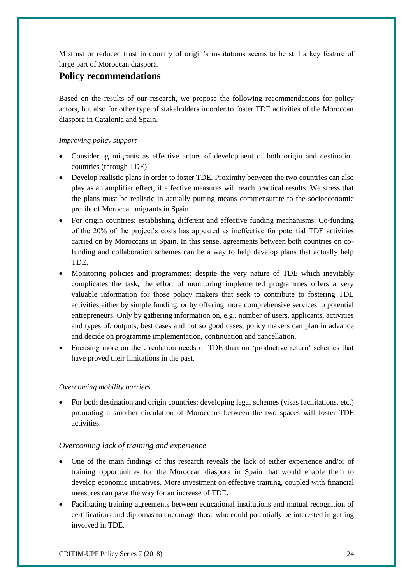Mistrust or reduced trust in country of origin's institutions seems to be still a key feature of large part of Moroccan diaspora.

# **Policy recommendations**

Based on the results of our research, we propose the following recommendations for policy actors, but also for other type of stakeholders in order to foster TDE activities of the Moroccan diaspora in Catalonia and Spain.

# *Improving policy support*

- Considering migrants as effective actors of development of both origin and destination countries (through TDE)
- Develop realistic plans in order to foster TDE. Proximity between the two countries can also play as an amplifier effect, if effective measures will reach practical results. We stress that the plans must be realistic in actually putting means commensurate to the socioeconomic profile of Moroccan migrants in Spain.
- For origin countries: establishing different and effective funding mechanisms. Co-funding of the 20% of the project's costs has appeared as ineffective for potential TDE activities carried on by Moroccans in Spain. In this sense, agreements between both countries on cofunding and collaboration schemes can be a way to help develop plans that actually help TDE.
- Monitoring policies and programmes: despite the very nature of TDE which inevitably complicates the task, the effort of monitoring implemented programmes offers a very valuable information for those policy makers that seek to contribute to fostering TDE activities either by simple funding, or by offering more comprehensive services to potential entrepreneurs. Only by gathering information on, e.g., number of users, applicants, activities and types of, outputs, best cases and not so good cases, policy makers can plan in advance and decide on programme implementation, continuation and cancellation.
- Focusing more on the circulation needs of TDE than on 'productive return' schemes that have proved their limitations in the past.

# *Overcoming mobility barriers*

 For both destination and origin countries: developing legal schemes (visas facilitations, etc.) promoting a smother circulation of Moroccans between the two spaces will foster TDE activities.

# *Overcoming lack of training and experience*

- One of the main findings of this research reveals the lack of either experience and/or of training opportunities for the Moroccan diaspora in Spain that would enable them to develop economic initiatives. More investment on effective training, coupled with financial measures can pave the way for an increase of TDE.
- Facilitating training agreements between educational institutions and mutual recognition of certifications and diplomas to encourage those who could potentially be interested in getting involved in TDE.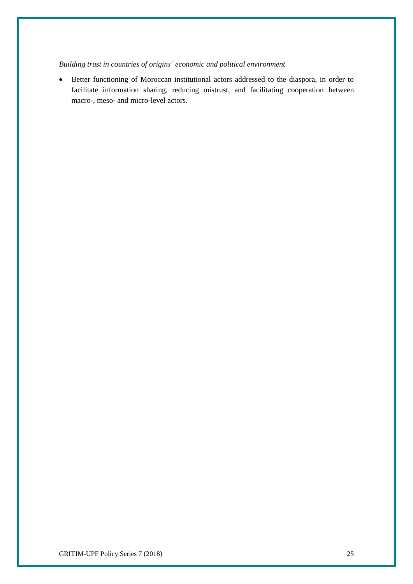# *Building trust in countries of origins' economic and political environment*

 Better functioning of Moroccan institutional actors addressed to the diaspora, in order to facilitate information sharing, reducing mistrust, and facilitating cooperation between macro-, meso- and micro-level actors.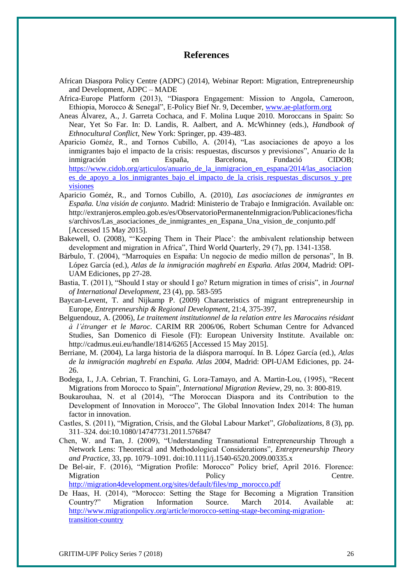# **References**

- African Diaspora Policy Centre (ADPC) (2014), Webinar Report: Migration, Entrepreneurship and Development, ADPC – MADE
- Africa-Europe Platform (2013), "Diaspora Engagement: Mission to Angola, Cameroon, Ethiopia, Morocco & Senegal", E-Policy Bief Nr. 9, December[, www.ae-platform.org](http://www.ae-platform.org/)
- Aneas Álvarez, A., J. Garreta Cochaca, and F. Molina Luque 2010. Moroccans in Spain: So Near, Yet So Far. In: D. Landis, R. Aalbert, and A. McWhinney (eds.), *Handbook of Ethnocultural Conflict*, New York: Springer, pp. 439-483.
- Aparicio Goméz, R., and Tornos Cubillo, A. (2014), "Las asociaciones de apoyo a los inmigrantes bajo el impacto de la crisis: respuestas, discursos y previsiones", Anuario de la inmigración en España, Barcelona, Fundació CIDOB; [https://www.cidob.org/articulos/anuario\\_de\\_la\\_inmigracion\\_en\\_espana/2014/las\\_asociacion](https://www.cidob.org/articulos/anuario_de_la_inmigracion_en_espana/2014/las_asociaciones_de_apoyo_a_los_inmigrantes_bajo_el_impacto_de_la_crisis_respuestas_discursos_y_previsiones) es de apoyo a los inmigrantes bajo el impacto de la crisis respuestas discursos y pre [visiones](https://www.cidob.org/articulos/anuario_de_la_inmigracion_en_espana/2014/las_asociaciones_de_apoyo_a_los_inmigrantes_bajo_el_impacto_de_la_crisis_respuestas_discursos_y_previsiones)
- Aparicio Goméz, R., and Tornos Cubillo, A. (2010), *Las asociaciones de inmigrantes en España. Una visión de conjunto*. Madrid: Ministerio de Trabajo e Inmigración. Available on: http://extranjeros.empleo.gob.es/es/ObservatorioPermanenteInmigracion/Publicaciones/ficha s/archivos/Las asociaciones de inmigrantes en Espana Una vision de conjunto.pdf [Accessed 15 May 2015].
- Bakewell, O. (2008), "'Keeping Them in Their Place': the ambivalent relationship between development and migration in Africa", Third World Quarterly, 29 (7), pp. 1341-1358.
- Bárbulo, T. (2004), "Marroquíes en España: Un negocio de medio millon de personas", In B. López García (ed.), *Atlas de la inmigración maghrebí en España. Atlas 2004*, Madrid: OPI-UAM Ediciones, pp 27-28.
- Bastia, T. (2011), "Should I stay or should I go? Return migration in times of crisis", in *Journal of International Development*, 23 (4), pp. 583-595
- Baycan-Levent, T. and Nijkamp P. (2009) Characteristics of migrant entrepreneurship in Europe, *Entrepreneurship & Regional Development*, 21:4, 375-397,
- Belguendouz, A. (2006), *Le traitement institutionnel de la relation entre les Marocains résidant à l'étranger et le Maroc*. CARIM RR 2006/06, Robert Schuman Centre for Advanced Studies, San Domenico di Fiesole (FI): European University Institute. Available on: http://cadmus.eui.eu/handle/1814/6265 [Accessed 15 May 2015].
- Berriane, M. (2004), La larga historia de la diáspora marroquí. In B. López García (ed.), *Atlas de la inmigración maghrebí en España. Atlas 2004*, Madrid: OPI-UAM Ediciones, pp. 24- 26.
- Bodega, I., J.A. Cebrian, T. Franchini, G. Lora-Tamayo, and A. Martin-Lou, (1995), "Recent Migrations from Morocco to Spain", *International Migration Review*, 29, no. 3: 800-819.
- Boukarouhaa, N. et al (2014), "The Moroccan Diaspora and its Contribution to the Development of Innovation in Morocco", The Global Innovation Index 2014: The human factor in innovation.
- Castles, S. (2011), "Migration, Crisis, and the Global Labour Market", *Globalizations*, 8 (3), pp. 311–324. doi:10.1080/14747731.2011.576847
- Chen, W. and Tan, J. (2009), "Understanding Transnational Entrepreneurship Through a Network Lens: Theoretical and Methodological Considerations", *Entrepreneurship Theory and Practice*, 33, pp. 1079–1091. doi:10.1111/j.1540-6520.2009.00335.x
- De Bel-air, F. (2016), "Migration Profile: Morocco" Policy brief, April 2016. Florence: Migration **Centre.** Policy **Centre.** [http://migration4development.org/sites/default/files/mp\\_morocco.pdf](http://migration4development.org/sites/default/files/mp_morocco.pdf)

De Haas, H. (2014), "Morocco: Setting the Stage for Becoming a Migration Transition Country?" Migration Information Source. March 2014. Available at: [http://www.migrationpolicy.org/article/morocco-setting-stage-becoming-migration-](http://www.migrationpolicy.org/article/morocco-setting-stage-becoming-migration-transition-country)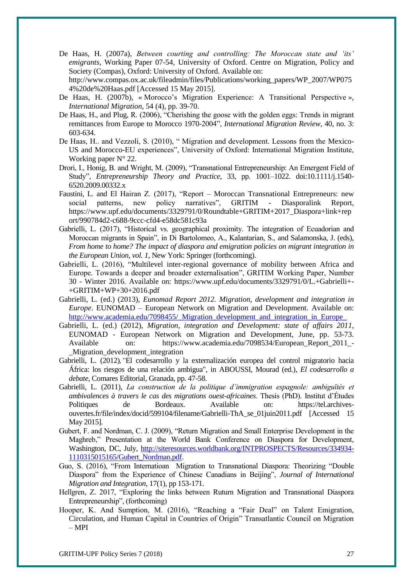De Haas, H. (2007a), *Between courting and controlling: The Moroccan state and 'its' emigrants*, Working Paper 07-54, University of Oxford. Centre on Migration, Policy and Society (Compas), Oxford: University of Oxford. Available on: http://www.compas.ox.ac.uk/fileadmin/files/Publications/working\_papers/WP\_2007/WP075

4%20de%20Haas.pdf [Accessed 15 May 2015].

- De Haas, H. (2007b), « Morocco's Migration Experience: A Transitional Perspective », *International Migration*, 54 (4), pp. 39-70.
- De Haas, H., and Plug, R. (2006), "Cherishing the goose with the golden eggs: Trends in migrant remittances from Europe to Morocco 1970-2004", *International Migration Review*, 40, no. 3: 603-634.
- De Haas, H.. and Vezzoli, S. (2010), " Migration and development. Lessons from the Mexico-US and Morocco-EU experiences", University of Oxford: International Migration Institute, Working paper N° 22.
- Drori, I., Honig, B. and Wright, M. (2009), "Transnational Entrepreneurship: An Emergent Field of Study", *Entrepreneurship Theory and Practice*, 33, pp. 1001–1022. doi:10.1111/j.1540- 6520.2009.00332.x
- Faustini, L. and El Hairan Z. (2017), "Report Moroccan Transnational Entrepreneurs: new social patterns, new policy narratives", GRITIM - Diasporalink Report, https://www.upf.edu/documents/3329791/0/Roundtable+GRITIM+2017\_Diaspora+link+rep ort/990784d2-c688-9ccc-cfd4-e58dc581c93a
- Gabrielli, L. (2017), "Historical vs. geographical proximity. The integration of Ecuadorian and Moroccan migrants in Spain", in Di Bartolomeo, A., Kalantarian, S., and Salamonska, J. (eds), *From home to home? The impact of diaspora and emigration policies on migrant integration in the European Union, vol. 1*, New York: Springer (forthcoming).
- Gabrielli, L. (2016), "Multilevel inter-regional governance of mobility between Africa and Europe. Towards a deeper and broader externalisation", GRITIM Working Paper, Number 30 - Winter 2016. Available on: https://www.upf.edu/documents/3329791/0/L.+Gabrielli+- +GRITIM+WP+30+2016.pdf
- Gabrielli, L. (ed.) (2013), *Eunomad Report 2012. Migration, development and integration in Europe*. EUNOMAD – European Network on Migration and Development. Available on: http://www.academia.edu/7098455/\_Migration\_development\_and\_integration\_in\_Europe
- Gabrielli, L. (ed.) (2012), *Migration, integration and Development: state of affairs 2011*, EUNOMAD - European Network on Migration and Development, June, pp. 53-73. Available on: https://www.academia.edu/7098534/European\_Report\_2011\_- Migration development integration
- Gabrielli, L. (2012)*,"*El codesarrollo y la externalización europea del control migratorio hacia África: los riesgos de una relación ambigua", in ABOUSSI, Mourad (ed.), *El codesarrollo a debate*, Comares Editorial, Granada, pp. 47-58.
- Gabrielli, L. (2011), *La construction de la politique d'immigration espagnole: ambiguïtés et ambivalences à travers le cas des migrations ouest-africaines*. Thesis (PhD). Institut d'Études Politiques de Bordeaux. Available on: https://tel.archivesouvertes.fr/file/index/docid/599104/filename/Gabrielli-ThA\_se\_01juin2011.pdf [Accessed 15 May 2015].
- Gubert, F. and Nordman, C. J. (2009), "Return Migration and Small Enterprise Development in the Maghreb," Presentation at the World Bank Conference on Diaspora for Development, Washington, DC, July, [http://siteresources.worldbank.org/INTPROSPECTS/Resources/334934-](http://siteresources.worldbank.org/INTPROSPECTS/Resources/334934-1110315015165/Gubert_Nordman.pdf) [1110315015165/Gubert\\_Nordman.pdf.](http://siteresources.worldbank.org/INTPROSPECTS/Resources/334934-1110315015165/Gubert_Nordman.pdf)
- Guo, S. (2016), "From Internatioan Migration to Transnational Diaspora: Theorizing "Double Diaspora" from the Experience of Chinese Canadians in Beijing", *Journal of International Migration and Integration*, 17(1), pp 153-171.
- Hellgren, Z. 2017, "Exploring the links between Ruturn Migration and Transnational Diaspora Entrepreneurship", (forthcoming)
- Hooper, K. And Sumption, M. (2016), "Reaching a "Fair Deal" on Talent Emigration, Circulation, and Human Capital in Countries of Origin" Transatlantic Council on Migration – MPI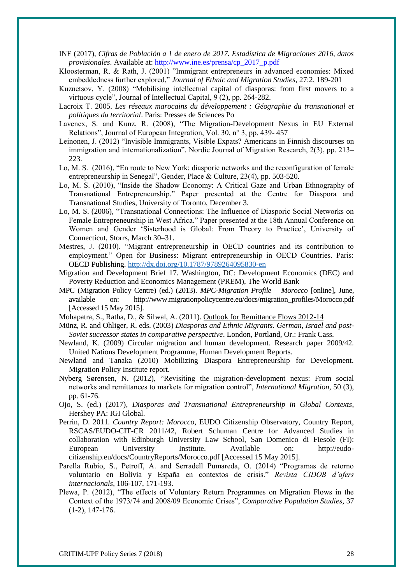- INE (2017), *Cifras de Población a 1 de enero de 2017. Estadística de Migraciones 2016, datos provisionales*. Available at: [http://www.ine.es/prensa/cp\\_2017\\_p.pdf](http://www.ine.es/prensa/cp_2017_p.pdf)
- Kloosterman, R. & Rath, J. (2001) "Immigrant entrepreneurs in advanced economies: Mixed embeddedness further explored," *Journal of Ethnic and Migration Studies*, 27:2, 189-201
- Kuznetsov, Y. (2008) "Mobilising intellectual capital of diasporas: from first movers to a virtuous cycle", Journal of Intellectual Capital, 9 (2), pp. 264-282.
- Lacroix T. 2005. *Les réseaux marocains du développement : Géographie du transnational et politiques du territorial*. Paris: Presses de Sciences Po
- Lavenex, S. and Kunz, R. (2008), "The Migration-Development Nexus in EU External Relations", Journal of European Integration, Vol. 30, n° 3, pp. 439- 457
- Leinonen, J. (2012) "Invisible Immigrants, Visible Expats? Americans in Finnish discourses on immigration and internationalization". Nordic Journal of Migration Research, 2(3), pp. 213– 223.
- Lo, M. S. (2016), "En route to New York: diasporic networks and the reconfiguration of female entrepreneurship in Senegal", Gender, Place & Culture, 23(4), pp. 503-520.
- Lo, M. S. (2010), "Inside the Shadow Economy: A Critical Gaze and Urban Ethnography of Transnational Entrepreneurship." Paper presented at the Centre for Diaspora and Transnational Studies, University of Toronto, December 3.
- Lo, M. S. (2006), "Transnational Connections: The Influence of Diasporic Social Networks on Female Entrepreneurship in West Africa." Paper presented at the 18th Annual Conference on Women and Gender 'Sisterhood is Global: From Theory to Practice', University of Connecticut, Storrs, March 30–31.
- Mestres, J. (2010). "Migrant entrepreneurship in OECD countries and its contribution to employment." Open for Business: Migrant entrepreneurship in OECD Countries. Paris: OECD Publishing.<http://dx.doi.org/10.1787/9789264095830-en>
- Migration and Development Brief 17. Washington, DC: Development Economics (DEC) and Poverty Reduction and Economics Management (PREM), The World Bank
- MPC (Migration Policy Centre) (ed.) (2013). *MPC-Migration Profile – Morocco* [online], June, available on: http://www.migrationpolicycentre.eu/docs/migration\_profiles/Morocco.pdf [Accessed 15 May 2015].
- Mohapatra, S., Ratha, D., & Silwal, A. (2011). Outlook for Remittance Flows 2012-14
- Münz, R. and Ohliger, R. eds. (2003) *Diasporas and Ethnic Migrants. German, Israel and post-Soviet successor states in comparative perspective*. London, Portland, Or.: Frank Cass.
- Newland, K. (2009) Circular migration and human development. Research paper 2009/42. United Nations Development Programme, Human Development Reports.
- Newland and Tanaka (2010) Mobilizing Diaspora Entrepreneurship for Development. Migration Policy Institute report.
- Nyberg Sørensen, N. (2012), "Revisiting the migration-development nexus: From social networks and remittances to markets for migration control", *International Migration*, 50 (3), pp. 61-76.
- Ojo, S. (ed.) (2017), *Diasporas and Transnational Entrepreneurship in Global Contexts*, Hershey PA: IGI Global.
- Perrin, D. 2011. *Country Report: Morocco*, EUDO Citizenship Observatory, Country Report, RSCAS/EUDO-CIT-CR 2011/42, Robert Schuman Centre for Advanced Studies in collaboration with Edinburgh University Law School, San Domenico di Fiesole (FI): European University Institute. Available on: http://eudocitizenship.eu/docs/CountryReports/Morocco.pdf [Accessed 15 May 2015].
- Parella Rubio, S., Petroff, A. and Serradell Pumareda, O. (2014) "Programas de retorno voluntario en Bolivia y España en contextos de crisis." *Revista CIDOB d'afers internacionals*, 106-107, 171-193.
- Plewa, P. (2012), "The effects of Voluntary Return Programmes on Migration Flows in the Context of the 1973/74 and 2008/09 Economic Crises", *Comparative Population Studies*, 37 (1-2), 147-176.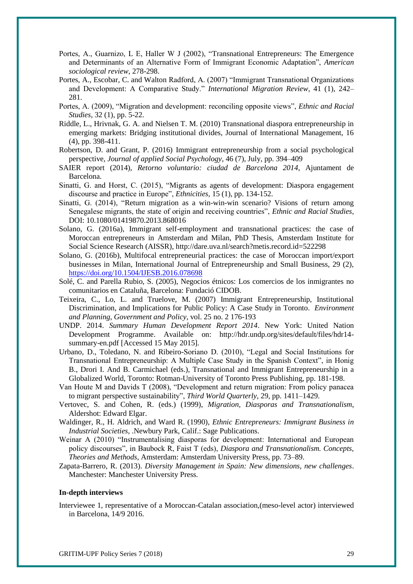- Portes, A., Guarnizo, L E, Haller W J (2002), "Transnational Entrepreneurs: The Emergence and Determinants of an Alternative Form of Immigrant Economic Adaptation", *American sociological review*, 278-298.
- Portes, A., Escobar, C. and Walton Radford, A. (2007) "Immigrant Transnational Organizations and Development: A Comparative Study." *International Migration Review*, 41 (1), 242– 281.
- Portes, A. (2009), "Migration and development: reconciling opposite views", *Ethnic and Racial Studies*, 32 (1), pp. 5-22.
- Riddle, L., Hrivnak, G. A. and Nielsen T. M. (2010) Transnational diaspora entrepreneurship in emerging markets: Bridging institutional divides, Journal of International Management, 16 (4), pp. 398-411.
- Robertson, D. and Grant, P. (2016) Immigrant entrepreneurship from a social psychological perspective, *Journal of applied Social Psychology*, 46 (7), July, pp. 394–409
- SAIER report (2014), *Retorno voluntario: ciudad de Barcelona 2014*, Ajuntament de Barcelona.
- Sinatti, G. and Horst, C. (2015), "Migrants as agents of development: Diaspora engagement discourse and practice in Europe", *Ethnicities*, 15 (1), pp. 134-152.
- Sinatti, G. (2014), "Return migration as a win-win-win scenario? Visions of return among Senegalese migrants, the state of origin and receiving countries", *Ethnic and Racial Studies*, DOI: 10.1080/01419870.2013.868016
- Solano, G. (2016a), Immigrant self-employment and transnational practices: the case of Moroccan entrepreneurs in Amsterdam and Milan, PhD Thesis, Amsterdam Institute for Social Science Research (AISSR), http://dare.uva.nl/search?metis.record.id=522298
- Solano, G. (2016b), Multifocal entrepreneurial practices: the case of Moroccan import/export businesses in Milan, International Journal of Entrepreneurship and Small Business, 29 (2), <https://doi.org/10.1504/IJESB.2016.078698>
- Solé, C. and Parella Rubio, S. (2005), Negocios étnicos: Los comercios de los inmigrantes no comunitarios en Cataluña, Barcelona: Fundació CIDOB.
- Teixeira, C., Lo, L. and Truelove, M. (2007) Immigrant Entrepreneurship, Institutional Discrimination, and Implications for Public Policy: A Case Study in Toronto. *Environment and Planning, Government and Policy*, vol. 25 no. 2 176-193
- UNDP. 2014. *Summary Human Development Report 2014*. New York: United Nation Development Programme. Available on: http://hdr.undp.org/sites/default/files/hdr14 summary-en.pdf [Accessed 15 May 2015].
- Urbano, D., Toledano, N. and Ribeiro-Soriano D. (2010), "Legal and Social Institutions for Transnational Entrepreneurship: A Multiple Case Study in the Spanish Context", in Honig B., Drori I. And B. Carmichael (eds.), Transnational and Immigrant Entrepreneurship in a Globalized World, Toronto: Rotman-University of Toronto Press Publishing, pp. 181-198.
- Van Houte M and Davids T (2008), "Development and return migration: From policy panacea to migrant perspective sustainability", *Third World Quarterly*, 29, pp. 1411–1429.
- Vertovec, S. and Cohen, R. (eds.) (1999), *Migration, Diasporas and Transnationalism*, Aldershot: Edward Elgar.
- Waldinger, R., H. Aldrich, and Ward R. (1990), *Ethnic Entrepreneurs: Immigrant Business in Industrial Societies*, .Newbury Park, Calif.: Sage Publications.
- Weinar A (2010) "Instrumentalising diasporas for development: International and European policy discourses", in Baubock R, Faist T (eds), *Diaspora and Transnationalism. Concepts, Theories and Methods*, Amsterdam: Amsterdam University Press, pp. 73–89.
- Zapata-Barrero, R. (2013). *Diversity Management in Spain: New dimensions, new challenges*. Manchester: Manchester University Press.

#### **In-depth interviews**

Interviewee 1, representative of a Moroccan-Catalan association,(meso-level actor) interviewed in Barcelona, 14/9 2016.